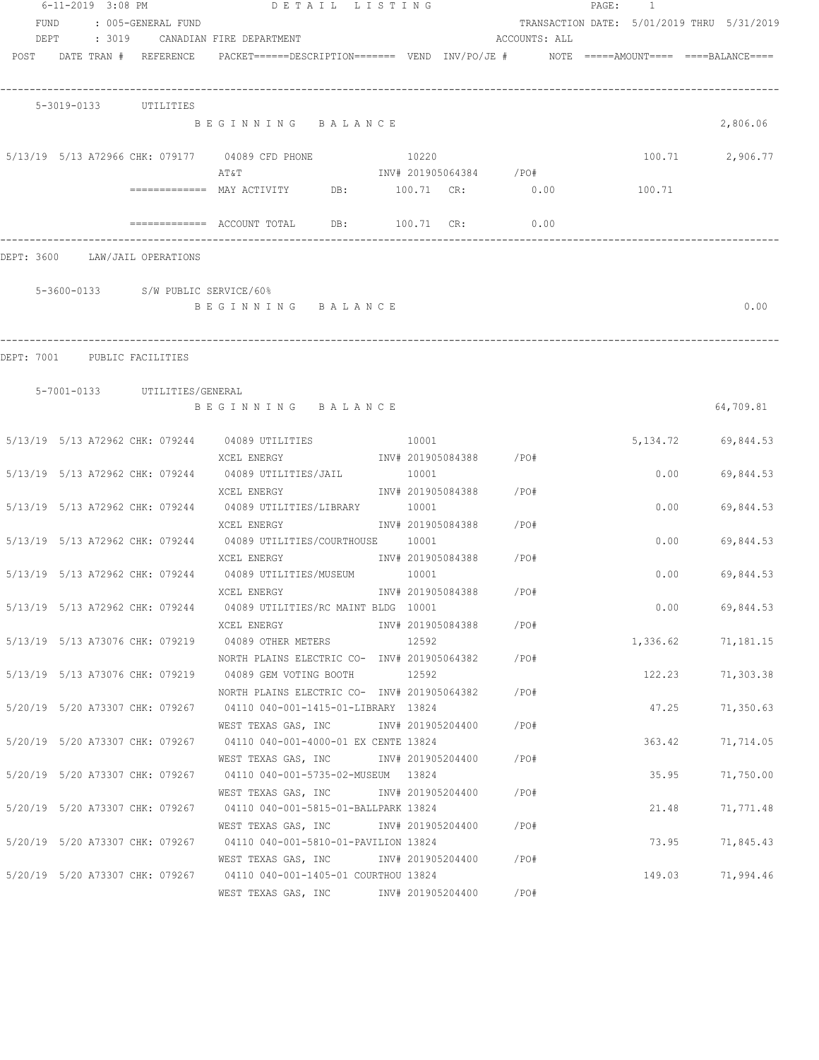|              | 6-11-2019 3:08 PM          |        |                                    | DETAIL LISTING                                                                                                   |                            |                         |               | PAGE: 1                                    |                        |
|--------------|----------------------------|--------|------------------------------------|------------------------------------------------------------------------------------------------------------------|----------------------------|-------------------------|---------------|--------------------------------------------|------------------------|
| FUND<br>DEPT |                            | : 3019 | : 005-GENERAL FUND                 | CANADIAN FIRE DEPARTMENT                                                                                         |                            |                         | ACCOUNTS: ALL | TRANSACTION DATE: 5/01/2019 THRU 5/31/2019 |                        |
|              | POST DATE TRAN # REFERENCE |        |                                    | $PACKET == == = DESCRIPTION == == == $ VEND $INV/PO/JE$ # $NOTE$ =====AMOUNT==== ===BALANCE====                  |                            |                         |               |                                            |                        |
|              | 5-3019-0133                |        | UTILITIES                          |                                                                                                                  |                            |                         |               |                                            |                        |
|              |                            |        |                                    | BEGINNING BALANCE                                                                                                |                            |                         |               |                                            | 2,806.06               |
|              |                            |        |                                    | 5/13/19 5/13 A72966 CHK: 079177 04089 CFD PHONE<br>AΤ&Τ                                                          | 10220                      | INV# 201905064384 / PO# |               | 100.71                                     | 2,906.77               |
|              |                            |        |                                    | ============ MAY ACTIVITY DB: 100.71 CR: 0.00                                                                    |                            |                         |               | 100.71                                     |                        |
|              |                            |        |                                    |                                                                                                                  | 100.71 CR:                 |                         | 0.00          |                                            |                        |
| DEPT: 3600   |                            |        | LAW/JAIL OPERATIONS                |                                                                                                                  |                            |                         |               |                                            |                        |
|              |                            |        | 5-3600-0133 S/W PUBLIC SERVICE/60% |                                                                                                                  |                            |                         |               |                                            |                        |
|              |                            |        |                                    | BEGINNING BALANCE                                                                                                |                            |                         |               |                                            | 0.00                   |
| DEPT: 7001   |                            |        | PUBLIC FACILITIES                  |                                                                                                                  |                            |                         |               |                                            |                        |
|              |                            |        | 5-7001-0133 UTILITIES/GENERAL      |                                                                                                                  |                            |                         |               |                                            |                        |
|              |                            |        |                                    | BEGINNING BALANCE                                                                                                |                            |                         |               |                                            | 64,709.81              |
|              |                            |        |                                    | 5/13/19 5/13 A72962 CHK: 079244 04089 UTILITIES                                                                  | 10001                      |                         |               |                                            | 5, 134. 72 69, 844. 53 |
|              |                            |        | 5/13/19 5/13 A72962 CHK: 079244    | XCEL ENERGY<br>INV# 201905084388 /PO#<br>04089 UTILITIES/JAIL                                                    | 10001                      |                         |               | 0.00                                       | 69,844.53              |
|              |                            |        | 5/13/19 5/13 A72962 CHK: 079244    | XCEL ENERGY<br>04089 UTILITIES/LIBRARY                                                                           | INV# 201905084388<br>10001 |                         | / PO#         | 0.00                                       | 69,844.53              |
|              |                            |        |                                    | XCEL ENERGY                                                                                                      |                            | INV# 201905084388       | /PO#          |                                            |                        |
|              |                            |        |                                    | 5/13/19 5/13 A72962 CHK: 079244 04089 UTILITIES/COURTHOUSE 10001<br>XCEL ENERGY                                  |                            | INV# 201905084388 /PO#  |               | 0.00                                       | 69,844.53              |
|              |                            |        |                                    | 5/13/19 5/13 A72962 CHK: 079244 04089 UTILITIES/MUSEUM 10001<br>XCEL ENERGY                                      |                            | INV# 201905084388       | /PO#          | 0.00                                       | 69,844.53              |
|              |                            |        |                                    | 5/13/19 5/13 A72962 CHK: 079244 04089 UTILITIES/RC MAINT BLDG 10001                                              |                            |                         |               | 0.00                                       | 69,844.53              |
|              |                            |        |                                    | XCEL ENERGY<br>5/13/19 5/13 A73076 CHK: 079219 04089 OTHER METERS 12592                                          |                            | INV# 201905084388 /PO#  |               |                                            | 1,336.62 71,181.15     |
|              |                            |        |                                    | NORTH PLAINS ELECTRIC CO- INV# 201905064382 / PO#<br>5/13/19 5/13 A73076 CHK: 079219 04089 GEM VOTING BOOTH      | 12592                      |                         |               |                                            | 122.23 71,303.38       |
|              |                            |        |                                    | NORTH PLAINS ELECTRIC CO- INV# 201905064382                                                                      |                            |                         | / PO#         |                                            |                        |
|              |                            |        |                                    | 5/20/19 5/20 A73307 CHK: 079267 04110 040-001-1415-01-LIBRARY 13824<br>WEST TEXAS GAS, INC                       |                            | INV# 201905204400       | /PO#          | 47.25                                      | 71,350.63              |
|              |                            |        | 5/20/19 5/20 A73307 CHK: 079267    | 04110 040-001-4000-01 EX CENTE 13824<br>WEST TEXAS GAS, INC METALLY 101905204400                                 |                            |                         | /PO#          | 363.42                                     | 71,714.05              |
|              |                            |        | 5/20/19 5/20 A73307 CHK: 079267    | 04110  040-001-5735-02-MUSEUM  13824                                                                             |                            |                         |               | 35.95                                      | 71,750.00              |
|              |                            |        | 5/20/19 5/20 A73307 CHK: 079267    | WEST TEXAS GAS, INC METH 201905204400<br>04110 040-001-5815-01-BALLPARK 13824                                    |                            |                         | /PO#          | 21.48                                      | 71,771.48              |
|              |                            |        |                                    | WEST TEXAS GAS, INC METALLY 101905204400<br>5/20/19 5/20 A73307 CHK: 079267 04110 040-001-5810-01-PAVILION 13824 |                            |                         | /PO#          | 73.95                                      | 71,845.43              |
|              |                            |        |                                    | WEST TEXAS GAS, INC 1NV# 201905204400 / PO#                                                                      |                            |                         |               |                                            |                        |
|              |                            |        |                                    | 5/20/19 5/20 A73307 CHK: 079267 04110 040-001-1405-01 COURTHOU 13824<br>WEST TEXAS GAS, INC METALL 201905204400  |                            |                         | /PO#          | 149.03                                     | 71,994.46              |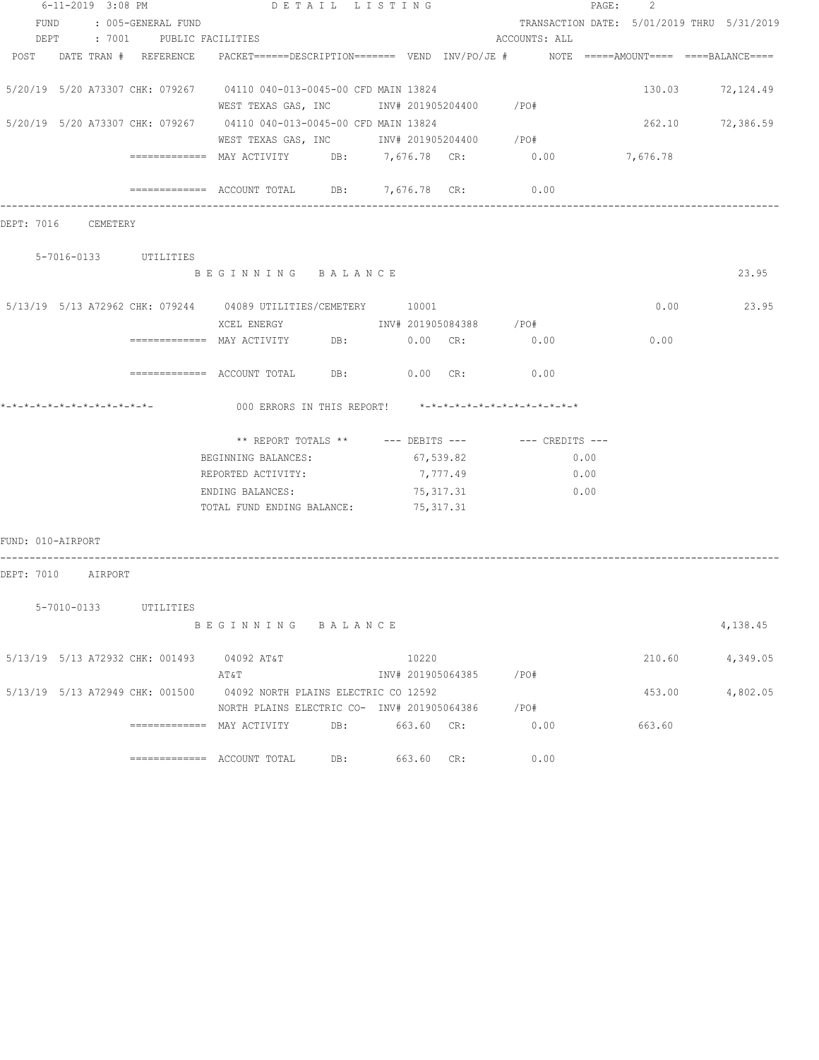|                   | 6-11-2019 3:08 PM   |                                 |                                                                                         |     | DETAIL LISTING    |          |                                                         | 2<br>PAGE: |                                            |
|-------------------|---------------------|---------------------------------|-----------------------------------------------------------------------------------------|-----|-------------------|----------|---------------------------------------------------------|------------|--------------------------------------------|
|                   |                     | FUND : 005-GENERAL FUND         |                                                                                         |     |                   |          |                                                         |            | TRANSACTION DATE: 5/01/2019 THRU 5/31/2019 |
|                   |                     | DEPT : 7001 PUBLIC FACILITIES   |                                                                                         |     |                   |          | ACCOUNTS: ALL                                           |            |                                            |
|                   |                     | POST DATE TRAN # REFERENCE      | PACKET======DESCRIPTION======= VEND INV/PO/JE #    NOTE =====AMOUNT==== ====BALANCE==== |     |                   |          |                                                         |            |                                            |
|                   |                     |                                 |                                                                                         |     |                   |          |                                                         |            |                                            |
|                   |                     |                                 | 5/20/19 5/20 A73307 CHK: 079267 04110 040-013-0045-00 CFD MAIN 13824                    |     |                   |          |                                                         |            | 130.03 72,124.49                           |
|                   |                     |                                 | WEST TEXAS GAS, INC 1NV# 201905204400 / PO#                                             |     |                   |          |                                                         |            |                                            |
|                   |                     |                                 | 5/20/19 5/20 A73307 CHK: 079267 04110 040-013-0045-00 CFD MAIN 13824                    |     |                   |          |                                                         |            | 262.10 72,386.59                           |
|                   |                     |                                 |                                                                                         |     |                   |          |                                                         |            |                                            |
|                   |                     |                                 | WEST TEXAS GAS, INC 1NV# 201905204400 / PO#                                             |     |                   |          |                                                         |            |                                            |
|                   |                     |                                 | ============= MAY ACTIVITY DB: 7,676.78 CR: 0.00 7,676.78                               |     |                   |          |                                                         |            |                                            |
|                   |                     |                                 | ============= ACCOUNT TOTAL DB: 7,676.78 CR:                                            |     |                   |          | 0.00                                                    |            |                                            |
|                   |                     |                                 |                                                                                         |     |                   |          |                                                         |            |                                            |
|                   | DEPT: 7016 CEMETERY |                                 |                                                                                         |     |                   |          |                                                         |            |                                            |
|                   |                     |                                 |                                                                                         |     |                   |          |                                                         |            |                                            |
|                   |                     | 5-7016-0133 UTILITIES           |                                                                                         |     |                   |          |                                                         |            |                                            |
|                   |                     |                                 | BEGINNING BALANCE                                                                       |     |                   |          |                                                         |            | 23.95                                      |
|                   |                     |                                 |                                                                                         |     |                   |          |                                                         |            |                                            |
|                   |                     |                                 | 5/13/19 5/13 A72962 CHK: 079244 04089 UTILITIES/CEMETERY 10001                          |     |                   |          |                                                         | 0.00       | 23.95                                      |
|                   |                     |                                 |                                                                                         |     |                   |          |                                                         |            |                                            |
|                   |                     |                                 | ================ MAY ACTIVITY DB: 0.00 CR: 0.00                                         |     |                   |          |                                                         | 0.00       |                                            |
|                   |                     |                                 | $\texttt{-----}$ =========== ACCOUNT TOTAL DB: 0.00 CR: 0.00                            |     |                   |          |                                                         |            |                                            |
|                   |                     |                                 |                                                                                         |     |                   |          | 000 ERRORS IN THIS REPORT! *-*-*-*-*-*-*-*-*-*-*-*-*-*- |            |                                            |
|                   |                     |                                 |                                                                                         |     |                   |          |                                                         |            |                                            |
|                   |                     |                                 |                                                                                         |     |                   |          | ** REPORT TOTALS ** --- DEBITS --- -- -- CREDITS ---    |            |                                            |
|                   |                     |                                 | BEGINNING BALANCES:                                                                     |     | 67,539.82         |          | 0.00                                                    |            |                                            |
|                   |                     |                                 | REPORTED ACTIVITY:                                                                      |     |                   | 7,777.49 | 0.00                                                    |            |                                            |
|                   |                     |                                 | ENDING BALANCES:                                                                        |     | 75, 317.31        |          | 0.00                                                    |            |                                            |
|                   |                     |                                 | TOTAL FUND ENDING BALANCE: 75,317.31                                                    |     |                   |          |                                                         |            |                                            |
|                   |                     |                                 |                                                                                         |     |                   |          |                                                         |            |                                            |
| FUND: 010-AIRPORT |                     |                                 |                                                                                         |     |                   |          |                                                         |            |                                            |
|                   | DEPT: 7010 AIRPORT  |                                 |                                                                                         |     |                   |          |                                                         |            |                                            |
|                   |                     |                                 |                                                                                         |     |                   |          |                                                         |            |                                            |
|                   | 5-7010-0133         | UTILITIES                       |                                                                                         |     |                   |          |                                                         |            |                                            |
|                   |                     |                                 | BEGINNING BALANCE                                                                       |     |                   |          |                                                         |            | 4,138.45                                   |
|                   |                     |                                 |                                                                                         |     |                   |          |                                                         |            |                                            |
|                   |                     | 5/13/19 5/13 A72932 CHK: 001493 | 04092 AT&T                                                                              |     | 10220             |          |                                                         | 210.60     | 4,349.05                                   |
|                   |                     |                                 | AΤ&Τ                                                                                    |     | INV# 201905064385 |          | /PO#                                                    |            |                                            |
|                   |                     | 5/13/19 5/13 A72949 CHK: 001500 | 04092 NORTH PLAINS ELECTRIC CO 12592                                                    |     |                   |          |                                                         | 453.00     | 4,802.05                                   |
|                   |                     |                                 | NORTH PLAINS ELECTRIC CO- INV# 201905064386                                             |     |                   |          | /PO#                                                    |            |                                            |
|                   |                     |                                 | ============= MAY ACTIVITY                                                              | DB: | 663.60 CR:        |          | 0.00                                                    | 663.60     |                                            |
|                   |                     |                                 |                                                                                         |     |                   |          |                                                         |            |                                            |
|                   |                     |                                 |                                                                                         | DB: | 663.60 CR:        |          | 0.00                                                    |            |                                            |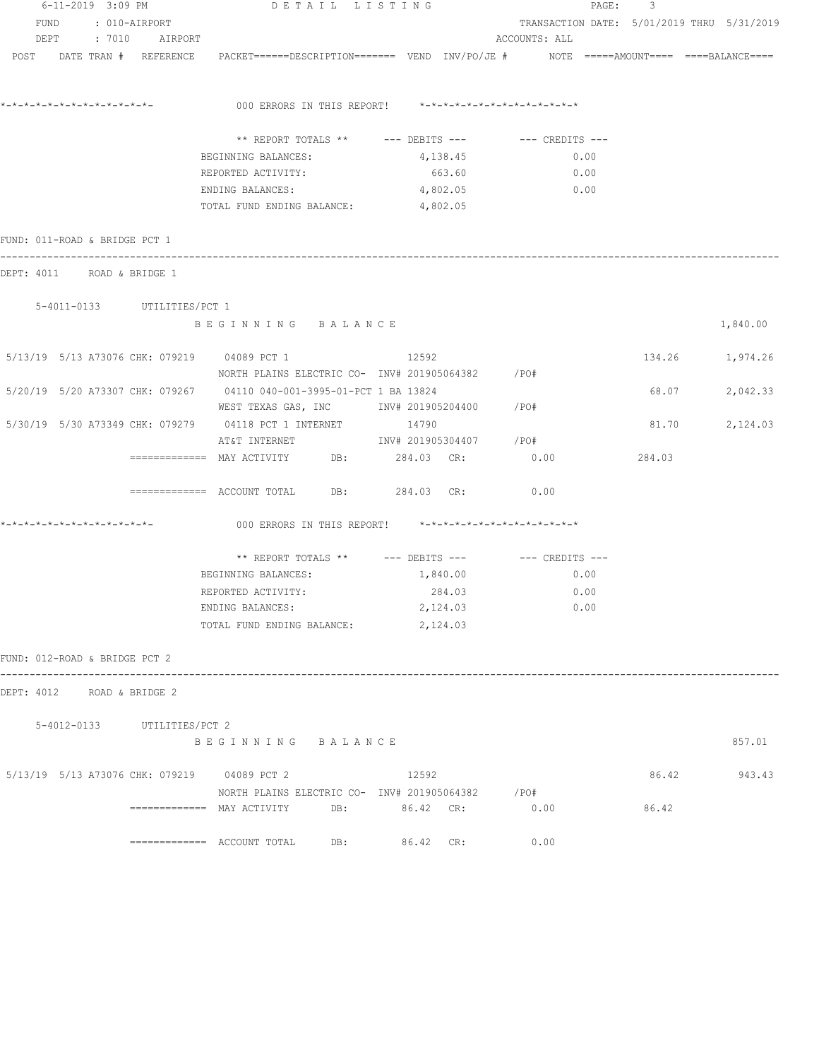| $6 - 11 - 2019$ 3:09 PM<br>FUND<br>: 010-AIRPORT |  |  | DETAIL LISTING |                             |                                                                                                                              | PAGE: | 3                                                       |                                            |      |        |                 |
|--------------------------------------------------|--|--|----------------|-----------------------------|------------------------------------------------------------------------------------------------------------------------------|-------|---------------------------------------------------------|--------------------------------------------|------|--------|-----------------|
|                                                  |  |  |                |                             |                                                                                                                              |       |                                                         | TRANSACTION DATE: 5/01/2019 THRU 5/31/2019 |      |        |                 |
|                                                  |  |  |                | DEPT : 7010 AIRPORT         |                                                                                                                              |       |                                                         | ACCOUNTS: ALL                              |      |        |                 |
| POST DATE TRAN # REFERENCE                       |  |  |                |                             | PACKET======DESCRIPTION======= VEND INV/PO/JE #     NOTE =====AMOUNT====  ====BALANCE====                                    |       |                                                         |                                            |      |        |                 |
|                                                  |  |  |                |                             | 000 ERRORS IN THIS REPORT! *-*-*-*-*-*-*-*-*-*-*-*-*-*-                                                                      |       |                                                         |                                            |      |        |                 |
|                                                  |  |  |                |                             |                                                                                                                              |       | ** REPORT TOTALS ** --- DEBITS --- -- CREDITS ---       |                                            |      |        |                 |
|                                                  |  |  |                |                             | BEGINNING BALANCES:                                                                                                          |       | 4,138.45                                                |                                            | 0.00 |        |                 |
|                                                  |  |  |                |                             | REPORTED ACTIVITY:                                                                                                           |       | 663.60                                                  |                                            | 0.00 |        |                 |
|                                                  |  |  |                |                             | ENDING BALANCES:                                                                                                             |       | 4,802.05                                                | 0.00                                       |      |        |                 |
|                                                  |  |  |                |                             | TOTAL FUND ENDING BALANCE: 4,802.05                                                                                          |       |                                                         |                                            |      |        |                 |
| FUND: 011-ROAD & BRIDGE PCT 1                    |  |  |                |                             |                                                                                                                              |       |                                                         |                                            |      |        |                 |
| DEPT: 4011 ROAD & BRIDGE 1                       |  |  |                |                             |                                                                                                                              |       |                                                         |                                            |      |        |                 |
|                                                  |  |  |                | 5-4011-0133 UTILITIES/PCT 1 |                                                                                                                              |       |                                                         |                                            |      |        |                 |
|                                                  |  |  |                |                             | BEGINNING BALANCE                                                                                                            |       |                                                         |                                            |      |        | 1,840.00        |
|                                                  |  |  |                |                             | 5/13/19 5/13 A73076 CHK: 079219 04089 PCT 1<br>NORTH PLAINS ELECTRIC CO- INV# 201905064382 / PO#                             |       | 12592                                                   |                                            |      |        | 134.26 1,974.26 |
|                                                  |  |  |                |                             | 5/20/19 5/20 A73307 CHK: 079267 04110 040-001-3995-01-PCT 1 BA 13824<br>WEST TEXAS GAS, INC       INV# 201905204400     /PO# |       |                                                         |                                            |      |        | 68.07 2,042.33  |
|                                                  |  |  |                |                             | 5/30/19 5/30 A73349 CHK: 079279 04118 PCT 1 INTERNET 14790                                                                   |       |                                                         |                                            |      | 81.70  | 2,124.03        |
|                                                  |  |  |                |                             | AT&T INTERNET                      INV# 201905304407        /PO#                                                             |       |                                                         |                                            |      |        |                 |
|                                                  |  |  |                |                             | ============ MAY ACTIVITY DB: 284.03 CR: 0.00                                                                                |       |                                                         |                                            |      | 284.03 |                 |
|                                                  |  |  |                |                             | ============= ACCOUNT TOTAL DB: 284.03 CR:                                                                                   |       |                                                         | 0.00                                       |      |        |                 |
|                                                  |  |  |                |                             |                                                                                                                              |       | 000 ERRORS IN THIS REPORT! *-*-*-*-*-*-*-*-*-*-*-*-*-*- |                                            |      |        |                 |
|                                                  |  |  |                |                             |                                                                                                                              |       | ** REPORT TOTALS ** $---$ DEBITS $---$                  | $---$ CREDITS $---$                        |      |        |                 |
|                                                  |  |  |                |                             | BEGINNING BALANCES:                                                                                                          |       | 1,840.00                                                |                                            | 0.00 |        |                 |
|                                                  |  |  |                |                             | REPORTED ACTIVITY:                                                                                                           |       | 284.03                                                  |                                            | 0.00 |        |                 |
|                                                  |  |  |                |                             | ENDING BALANCES:                                                                                                             |       | 2,124.03                                                |                                            | 0.00 |        |                 |
|                                                  |  |  |                |                             | TOTAL FUND ENDING BALANCE:                                                                                                   |       | 2,124.03                                                |                                            |      |        |                 |
| FUND: 012-ROAD & BRIDGE PCT 2                    |  |  |                |                             |                                                                                                                              |       |                                                         |                                            |      |        |                 |
| DEPT: 4012 ROAD & BRIDGE 2                       |  |  |                |                             |                                                                                                                              |       |                                                         |                                            |      |        |                 |
|                                                  |  |  |                | 5-4012-0133 UTILITIES/PCT 2 |                                                                                                                              |       |                                                         |                                            |      |        |                 |
|                                                  |  |  |                |                             | BEGINNING BALANCE                                                                                                            |       |                                                         |                                            |      |        | 857.01          |
|                                                  |  |  |                |                             | 5/13/19 5/13 A73076 CHK: 079219 04089 PCT 2                                                                                  |       | 12592                                                   |                                            |      | 86.42  | 943.43          |
|                                                  |  |  |                |                             | NORTH PLAINS ELECTRIC CO- INV# 201905064382 / PO#                                                                            |       |                                                         |                                            |      |        |                 |
|                                                  |  |  |                |                             | ============ MAY ACTIVITY DB: 86.42 CR: 0.00                                                                                 |       |                                                         |                                            |      | 86.42  |                 |
|                                                  |  |  |                |                             | $\texttt{-----} \texttt{-----}$ ACCOUNT TOTAL DB: 86.42 CR:                                                                  |       |                                                         | 0.00                                       |      |        |                 |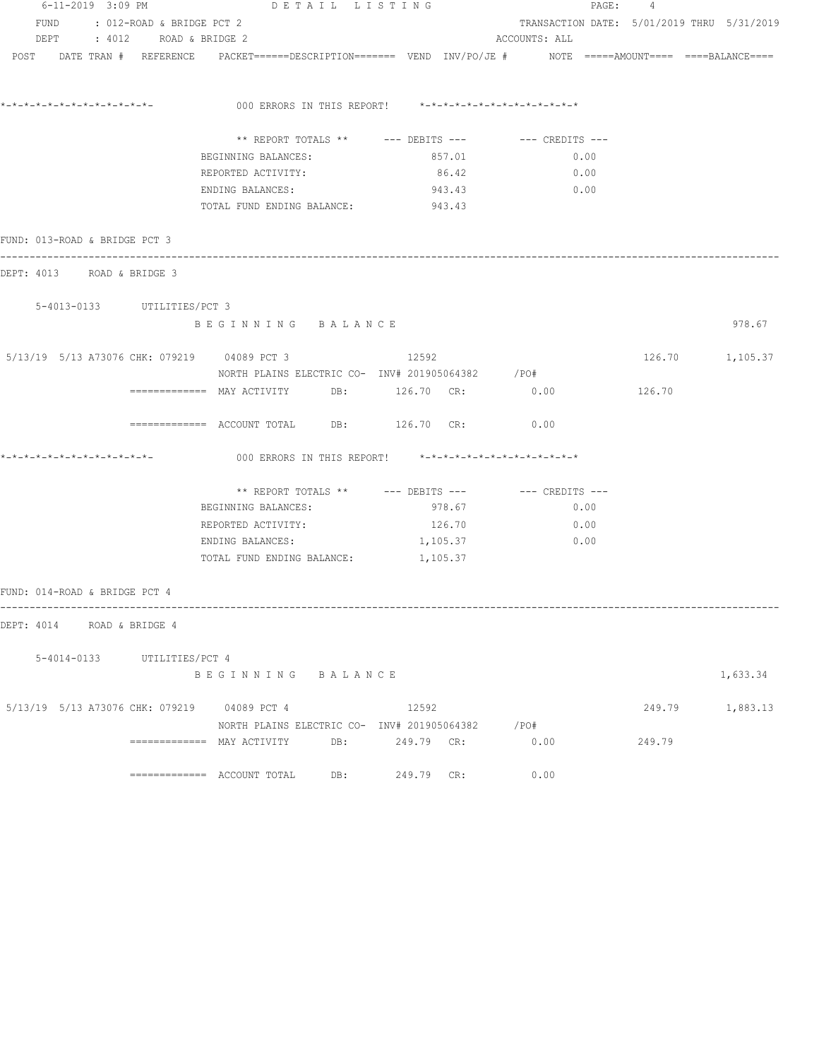| 6-11-2019 3:09 PM             |                                | DETAIL LISTING                                                                                                                                                     |  |            |               | PAGE: 4 |        |                                            |
|-------------------------------|--------------------------------|--------------------------------------------------------------------------------------------------------------------------------------------------------------------|--|------------|---------------|---------|--------|--------------------------------------------|
|                               | FUND : 012-ROAD & BRIDGE PCT 2 |                                                                                                                                                                    |  |            |               |         |        | TRANSACTION DATE: 5/01/2019 THRU 5/31/2019 |
|                               | DEPT : 4012 ROAD & BRIDGE 2    |                                                                                                                                                                    |  |            | ACCOUNTS: ALL |         |        |                                            |
|                               |                                | $POST$ $DATA$ $\#$ $REFERENCE$ $PACKET$ $=$ $=$ $=$ $DESCRIPTION$ $=$ $=$ $=$ $VEND$ $INV/PO/JE$ $\#$ $NOTE$ $=$ $=$ $=$ $=$ $=$ $=$ $=$ $=$ $=$ $BALANCE$ $=$ $=$ |  |            |               |         |        |                                            |
|                               |                                | 000 ERRORS IN THIS REPORT! $*-*-*-*-*-*-*-*-*-*-*-*-*-*-**$                                                                                                        |  |            |               |         |        |                                            |
|                               |                                |                                                                                                                                                                    |  |            |               |         |        |                                            |
|                               |                                | ** REPORT TOTALS ** --- DEBITS --- -- -- CREDITS ---                                                                                                               |  |            |               |         |        |                                            |
|                               |                                | BEGINNING BALANCES:                                                                                                                                                |  | 857.01     |               | 0.00    |        |                                            |
|                               |                                | REPORTED ACTIVITY:                                                                                                                                                 |  | 86.42      |               | 0.00    |        |                                            |
|                               |                                | ENDING BALANCES:                                                                                                                                                   |  | 943.43     | 0.00          |         |        |                                            |
|                               |                                | TOTAL FUND ENDING BALANCE: 943.43                                                                                                                                  |  |            |               |         |        |                                            |
| FUND: 013-ROAD & BRIDGE PCT 3 |                                |                                                                                                                                                                    |  |            |               |         |        |                                            |
|                               | DEPT: 4013 ROAD & BRIDGE 3     |                                                                                                                                                                    |  |            |               |         |        |                                            |
|                               | 5-4013-0133 UTILITIES/PCT 3    |                                                                                                                                                                    |  |            |               |         |        |                                            |
|                               |                                | BEGINNING BALANCE                                                                                                                                                  |  |            |               |         |        | 978.67                                     |
|                               |                                | 5/13/19 5/13 A73076 CHK: 079219 04089 PCT 3                                                                                                                        |  | 12592      |               |         |        | 126.70 1,105.37                            |
|                               |                                | NORTH PLAINS ELECTRIC CO- INV# 201905064382 / PO#<br>============ MAY ACTIVITY DB: 126.70 CR: 0.00                                                                 |  |            |               |         | 126.70 |                                            |
|                               |                                | ============ ACCOUNT TOTAL DB: 126.70 CR: 0.00                                                                                                                     |  |            |               |         |        |                                            |
|                               |                                |                                                                                                                                                                    |  |            |               |         |        |                                            |
|                               |                                | 000 ERRORS IN THIS REPORT! $*-*-*-*-*-*-*-*-*-*-*-*-*-*-**$                                                                                                        |  |            |               |         |        |                                            |
|                               |                                |                                                                                                                                                                    |  |            |               |         |        |                                            |
|                               |                                | BEGINNING BALANCES:                                                                                                                                                |  | 978.67     |               | 0.00    |        |                                            |
|                               |                                | REPORTED ACTIVITY:                                                                                                                                                 |  | 126.70     |               | 0.00    |        |                                            |
|                               |                                | ENDING BALANCES:                                                                                                                                                   |  | 1,105.37   |               | 0.00    |        |                                            |
|                               |                                | TOTAL FUND ENDING BALANCE: 1,105.37                                                                                                                                |  |            |               |         |        |                                            |
| FUND: 014-ROAD & BRIDGE PCT 4 |                                |                                                                                                                                                                    |  |            |               |         |        |                                            |
|                               | DEPT: 4014 ROAD & BRIDGE 4     |                                                                                                                                                                    |  |            |               |         |        |                                            |
|                               | 5-4014-0133 UTILITIES/PCT 4    |                                                                                                                                                                    |  |            |               |         |        |                                            |
|                               |                                | BEGINNING BALANCE                                                                                                                                                  |  |            |               |         |        | 1,633.34                                   |
|                               |                                | 5/13/19 5/13 A73076 CHK: 079219 04089 PCT 4                                                                                                                        |  | 12592      |               |         |        | 249.79 1,883.13                            |
|                               |                                | NORTH PLAINS ELECTRIC CO- INV# 201905064382 / PO#                                                                                                                  |  |            |               |         |        |                                            |
|                               |                                | ============= MAY ACTIVITY DB: 249.79 CR:                                                                                                                          |  |            | 0.00          |         | 249.79 |                                            |
|                               |                                |                                                                                                                                                                    |  | 249.79 CR: | 0.00          |         |        |                                            |